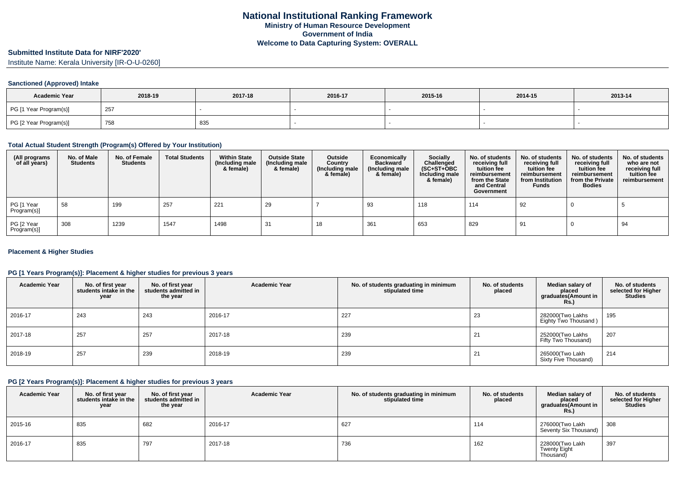# **Submitted Institute Data for NIRF'2020'**

Institute Name: Kerala University [IR-O-U-0260]

#### **Sanctioned (Approved) Intake**

| <b>Academic Year</b>   | 2018-19 | 2017-18 | 2016-17 | 2015-16 | 2014-15 | 2013-14 |
|------------------------|---------|---------|---------|---------|---------|---------|
| PG [1 Year Program(s)] | 257     |         |         |         |         |         |
| PG [2 Year Program(s)] | 758     | 835     |         |         |         |         |

### **Total Actual Student Strength (Program(s) Offered by Your Institution)**

| (All programs<br>of all years) | No. of Male<br><b>Students</b> | No. of Female<br><b>Students</b> | <b>Total Students</b> | <b>Within State</b><br>(Including male<br>& female) | <b>Outside State</b><br>(Including male<br>& female) | Outside<br>Country<br>(Including male<br>& female) | Economically<br><b>Backward</b><br>(Including male<br>& female) | <b>Socially</b><br>Challenged<br>$(SC+ST+OBC)$<br>Including male<br>& female) | No. of students<br>receiving full<br>tuition fee<br>reimbursement<br>from the State<br>and Central<br>Government | No. of students<br>receiving full<br>tuition fee<br>reimbursement<br>from Institution<br><b>Funds</b> | No. of students<br>receiving full<br>tuition fee<br>reimbursement<br>from the Private<br><b>Bodies</b> | No. of students<br>who are not<br>receiving full<br>tuition fee<br>reimbursement |
|--------------------------------|--------------------------------|----------------------------------|-----------------------|-----------------------------------------------------|------------------------------------------------------|----------------------------------------------------|-----------------------------------------------------------------|-------------------------------------------------------------------------------|------------------------------------------------------------------------------------------------------------------|-------------------------------------------------------------------------------------------------------|--------------------------------------------------------------------------------------------------------|----------------------------------------------------------------------------------|
| PG [1 Year<br>Program(s)]      | 58                             | 199                              | 257                   | 221                                                 | 29                                                   |                                                    | 93                                                              | 118                                                                           | 114                                                                                                              | 92                                                                                                    |                                                                                                        |                                                                                  |
| PG [2 Year<br>Program(s)]      | 308                            | 1239                             | 1547                  | 1498                                                | 31                                                   | 18                                                 | 361                                                             | 653                                                                           | 829                                                                                                              | 91                                                                                                    |                                                                                                        | 94                                                                               |

#### **Placement & Higher Studies**

### **PG [1 Years Program(s)]: Placement & higher studies for previous 3 years**

| <b>Academic Year</b> | No. of first year<br>students intake in the<br>year | No. of first year<br>students admitted in<br>the year | <b>Academic Year</b> | No. of students graduating in minimum<br>stipulated time | No. of students<br>placed | Median salary of<br>placed<br>graduates(Amount in<br><b>Rs.)</b> | No. of students<br>selected for Higher<br><b>Studies</b> |
|----------------------|-----------------------------------------------------|-------------------------------------------------------|----------------------|----------------------------------------------------------|---------------------------|------------------------------------------------------------------|----------------------------------------------------------|
| 2016-17              | 243                                                 | 243                                                   | 2016-17              | 227                                                      | 23                        | 282000(Two Lakhs<br>Eighty Two Thousand)                         | 195                                                      |
| 2017-18              | 257                                                 | 257                                                   | 2017-18              | 239                                                      | 21                        | 252000(Two Lakhs<br>Fifty Two Thousand)                          | 207                                                      |
| 2018-19              | 257                                                 | 239                                                   | 2018-19              | 239                                                      | 21                        | 265000(Two Lakh<br>Sixty Five Thousand)                          | 214                                                      |

### **PG [2 Years Program(s)]: Placement & higher studies for previous 3 years**

| <b>Academic Year</b> | No. of first year<br>students intake in the<br>year | No. of first vear<br>students admitted in<br>the year | <b>Academic Year</b> | No. of students graduating in minimum<br>stipulated time | No. of students<br>placed | Median salary of<br>placed<br>graduates(Amount in<br><b>Rs.)</b> | No. of students<br>selected for Higher<br><b>Studies</b> |
|----------------------|-----------------------------------------------------|-------------------------------------------------------|----------------------|----------------------------------------------------------|---------------------------|------------------------------------------------------------------|----------------------------------------------------------|
| 2015-16              | 835                                                 | 682                                                   | 2016-17              | 627                                                      | 114                       | 276000(Two Lakh<br>Seventy Six Thousand)                         | 308                                                      |
| 2016-17              | 835                                                 | 797                                                   | 2017-18              | 736                                                      | 162                       | 228000(Two Lakh<br>Twenty Eight<br>Thousand)                     | 397                                                      |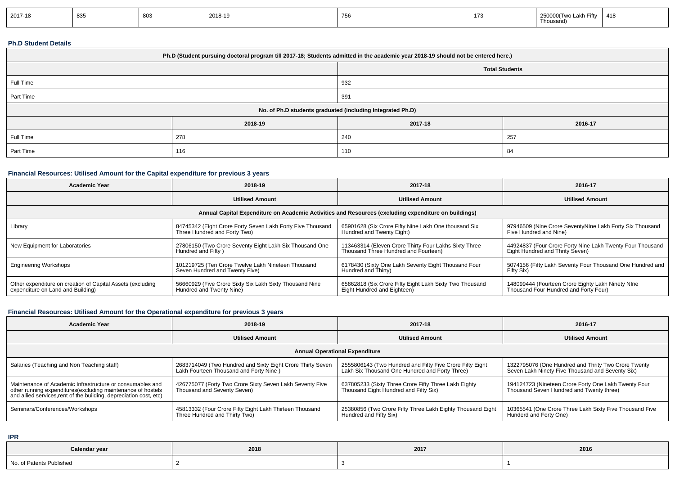| 2017-18 | 835 | 803 | 2018-19 | 756 | 173 | חהבר<br>00/Two Lakh Fiftv<br>Thousand) | 418 |
|---------|-----|-----|---------|-----|-----|----------------------------------------|-----|
|---------|-----|-----|---------|-----|-----|----------------------------------------|-----|

## **Ph.D Student Details**

| Ph.D (Student pursuing doctoral program till 2017-18; Students admitted in the academic year 2018-19 should not be entered here.) |         |         |                       |  |  |  |
|-----------------------------------------------------------------------------------------------------------------------------------|---------|---------|-----------------------|--|--|--|
|                                                                                                                                   |         |         | <b>Total Students</b> |  |  |  |
| Full Time                                                                                                                         |         | 932     |                       |  |  |  |
| Part Time                                                                                                                         |         | 391     |                       |  |  |  |
| No. of Ph.D students graduated (including Integrated Ph.D)                                                                        |         |         |                       |  |  |  |
|                                                                                                                                   | 2018-19 | 2017-18 | 2016-17               |  |  |  |
| Full Time                                                                                                                         | 278     | 240     | 257                   |  |  |  |
| Part Time                                                                                                                         | 116     | 110     | 84                    |  |  |  |

## **Financial Resources: Utilised Amount for the Capital expenditure for previous 3 years**

| Academic Year                                              | 2018-19                                                    | 2017-18                                                                                              | 2016-17                                                   |
|------------------------------------------------------------|------------------------------------------------------------|------------------------------------------------------------------------------------------------------|-----------------------------------------------------------|
|                                                            | <b>Utilised Amount</b>                                     | <b>Utilised Amount</b>                                                                               | <b>Utilised Amount</b>                                    |
|                                                            |                                                            | Annual Capital Expenditure on Academic Activities and Resources (excluding expenditure on buildings) |                                                           |
| Library                                                    | 84745342 (Eight Crore Forty Seven Lakh Forty Five Thousand | 65901628 (Six Crore Fifty Nine Lakh One thousand Six                                                 | 97946509 (Nine Crore SeventyNIne Lakh Forty Six Thousand  |
|                                                            | Three Hundred and Forty Two)                               | Hundred and Twenty Eight)                                                                            | Five Hundred and Nine)                                    |
| New Equipment for Laboratories                             | 27806150 (Two Crore Seventy Eight Lakh Six Thousand One    | 113463314 (Eleven Crore Thirty Four Lakhs Sixty Three                                                | 44924837 (Four Crore Forty Nine Lakh Twenty Four Thousand |
|                                                            | Hundred and Fifty)                                         | Thousand Three Hundred and Fourteen)                                                                 | Eight Hundred and Thrity Seven)                           |
| <b>Engineering Workshops</b>                               | 101219725 (Ten Crore Twelve Lakh Nineteen Thousand         | 6178430 (Sixty One Lakh Seventy Eight Thousand Four                                                  | 5074156 (Fifty Lakh Seventy Four Thousand One Hundred and |
|                                                            | Seven Hundred and Twenty Five)                             | Hundred and Thirty)                                                                                  | Fifty Six)                                                |
| Other expenditure on creation of Capital Assets (excluding | 56660929 (Five Crore Sixty Six Lakh Sixty Thousand Nine    | 65862818 (Six Crore Fifty Eight Lakh Sixty Two Thousand                                              | 148099444 (Fourteen Crore Eighty Lakh Ninety NIne         |
| expenditure on Land and Building)                          | Hundred and Twenty Nine)                                   | Eight Hundred and Eighteen)                                                                          | Thousand Four Hundred and Forty Four)                     |

# **Financial Resources: Utilised Amount for the Operational expenditure for previous 3 years**

| <b>Academic Year</b>                                                                                                                                                                            | 2018-19                                                                                               | 2017-18                                                                                                    | 2016-17                                                                                                 |  |  |  |  |
|-------------------------------------------------------------------------------------------------------------------------------------------------------------------------------------------------|-------------------------------------------------------------------------------------------------------|------------------------------------------------------------------------------------------------------------|---------------------------------------------------------------------------------------------------------|--|--|--|--|
|                                                                                                                                                                                                 | <b>Utilised Amount</b>                                                                                | <b>Utilised Amount</b>                                                                                     | <b>Utilised Amount</b>                                                                                  |  |  |  |  |
| <b>Annual Operational Expenditure</b>                                                                                                                                                           |                                                                                                       |                                                                                                            |                                                                                                         |  |  |  |  |
| Salaries (Teaching and Non Teaching staff)                                                                                                                                                      | 2683714049 (Two Hundred and Sixty Eight Crore Thirty Seven<br>Lakh Fourteen Thousand and Forty Nine ) | 2555806143 (Two Hundred and Fifty Five Crore Fifty Eight<br>Lakh Six Thousand One Hundred and Forty Three) | 1322795076 (One Hundred and Thrity Two Crore Twenty<br>Seven Lakh Ninety Five Thousand and Seventy Six) |  |  |  |  |
| Maintenance of Academic Infrastructure or consumables and<br>other running expenditures (excluding maintenance of hostels<br>and allied services, rent of the building, depreciation cost, etc) | 426775077 (Forty Two Crore Sixty Seven Lakh Seventy Five<br>Thousand and Seventy Seven)               | 637805233 (Sixty Three Crore Fifty Three Lakh Eighty<br>Thousand Eight Hundred and Fifty Six)              | 194124723 (Nineteen Crore Forty One Lakh Twenty Four<br>Thousand Seven Hundred and Twenty three)        |  |  |  |  |
| Seminars/Conferences/Workshops                                                                                                                                                                  | 45813332 (Four Crore Fifty Eight Lakh Thirteen Thousand<br>Three Hundred and Thirty Two)              | 25380856 (Two Crore Fifty Three Lakh Eighty Thousand Eight<br>Hundred and Fifty Six)                       | 10365541 (One Crore Three Lakh Sixty Five Thousand Five<br>Hunderd and Forty One)                       |  |  |  |  |

**IPR**

| Calendar year                 | 2018 | 2017 | 2016 |
|-------------------------------|------|------|------|
| No. of Patents F<br>Published |      |      |      |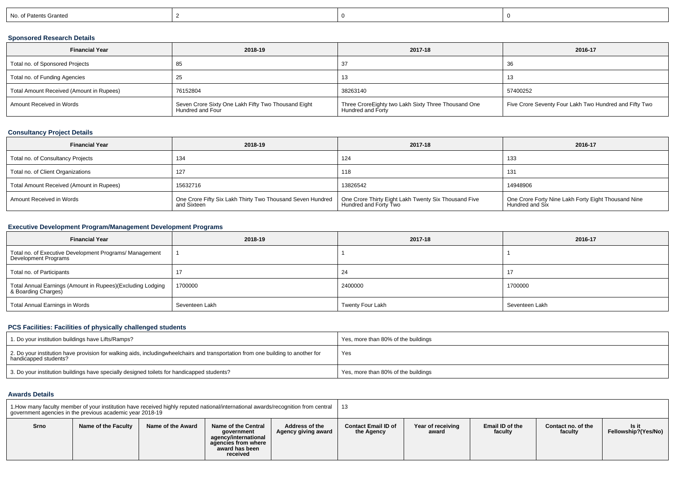| No. of Patents Granted |
|------------------------|
|------------------------|

## **Sponsored Research Details**

| <b>Financial Year</b>                    | 2018-19                                                                 | 2017-18                                                                  | 2016-17                                                |
|------------------------------------------|-------------------------------------------------------------------------|--------------------------------------------------------------------------|--------------------------------------------------------|
| Total no. of Sponsored Projects          | 85                                                                      |                                                                          | 36                                                     |
| Total no. of Funding Agencies            | ںے                                                                      | 13                                                                       | 13                                                     |
| Total Amount Received (Amount in Rupees) | 76152804                                                                | 38263140                                                                 | 57400252                                               |
| Amount Received in Words                 | Seven Crore Sixty One Lakh Fifty Two Thousand Eight<br>Hundred and Four | Three CroreEighty two Lakh Sixty Three Thousand One<br>Hundred and Forty | Five Crore Seventy Four Lakh Two Hundred and Fifty Two |

### **Consultancy Project Details**

| <b>Financial Year</b>                    | 2018-19                                                                   | 2017-18                                                                       | 2016-17                                                                |
|------------------------------------------|---------------------------------------------------------------------------|-------------------------------------------------------------------------------|------------------------------------------------------------------------|
| Total no. of Consultancy Projects        | 134                                                                       | 124                                                                           | 133                                                                    |
| Total no. of Client Organizations        | 127                                                                       | 118                                                                           | 131                                                                    |
| Total Amount Received (Amount in Rupees) | 15632716                                                                  | 13826542                                                                      | 14948906                                                               |
| Amount Received in Words                 | One Crore Fifty Six Lakh Thirty Two Thousand Seven Hundred<br>and Sixteen | One Crore Thirty Eight Lakh Twenty Six Thousand Five<br>Hundred and Forty Two | One Crore Forty Nine Lakh Forty Eight Thousand Nine<br>Hundred and Six |

## **Executive Development Program/Management Development Programs**

| <b>Financial Year</b>                                                             | 2018-19        | 2017-18          | 2016-17        |
|-----------------------------------------------------------------------------------|----------------|------------------|----------------|
| Total no. of Executive Development Programs/ Management<br>Development Programs   |                |                  |                |
| Total no. of Participants                                                         |                | 24               |                |
| Total Annual Earnings (Amount in Rupees)(Excluding Lodging<br>& Boarding Charges) | 1700000        | 2400000          | 1700000        |
| Total Annual Earnings in Words                                                    | Seventeen Lakh | Twenty Four Lakh | Seventeen Lakh |

## **PCS Facilities: Facilities of physically challenged students**

| 1. Do your institution buildings have Lifts/Ramps?                                                                                                        | Yes, more than 80% of the buildings |
|-----------------------------------------------------------------------------------------------------------------------------------------------------------|-------------------------------------|
| 2. Do your institution have provision for walking aids, includingwheelchairs and transportation from one building to another for<br>handicapped students? | Yes                                 |
| 3. Do your institution buildings have specially designed toilets for handicapped students?                                                                | Yes, more than 80% of the buildings |

#### **Awards Details**

| 1. How many faculty member of your institution have received highly reputed national/international awards/recognition from central<br>government agencies in the previous academic year 2018-19 |                     |                   |                                                                                                                       |                                       | - 13                                     |                            |                            |                               |                              |
|-------------------------------------------------------------------------------------------------------------------------------------------------------------------------------------------------|---------------------|-------------------|-----------------------------------------------------------------------------------------------------------------------|---------------------------------------|------------------------------------------|----------------------------|----------------------------|-------------------------------|------------------------------|
| Srno                                                                                                                                                                                            | Name of the Faculty | Name of the Award | <b>Name of the Central</b><br>government<br>agency/international<br>agencies from where<br>award has been<br>received | Address of the<br>Agency giving award | <b>Contact Email ID of</b><br>the Agency | Year of receiving<br>award | Email ID of the<br>faculty | Contact no, of the<br>faculty | ls it<br>Fellowship?(Yes/No) |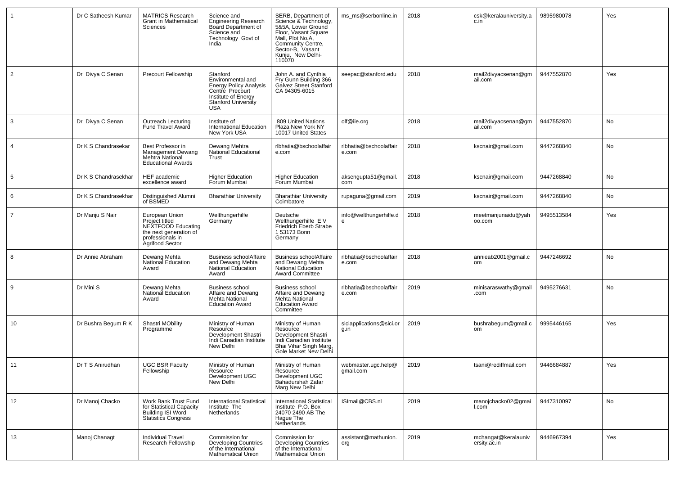| -1             | Dr C Satheesh Kumar  | <b>MATRICS Research</b><br><b>Grant in Mathematical</b><br>Sciences                                                     | Science and<br><b>Engineering Research</b><br>Board Department of<br>Science and<br>Technology Govt of<br>India                                      | SERB, Department of<br>Science & Technology,<br>5&5A, Lower Ground<br>Floor, Vasant Square<br>Mall, Plot No.A,<br>Community Centre,<br>Sector-B, Vasant<br>Kunju, New Delhi-<br>110070 | ms_ms@serbonline.in              | 2018 | csk@keralauniversity.a<br>c.in      | 9895980078 | Yes |
|----------------|----------------------|-------------------------------------------------------------------------------------------------------------------------|------------------------------------------------------------------------------------------------------------------------------------------------------|----------------------------------------------------------------------------------------------------------------------------------------------------------------------------------------|----------------------------------|------|-------------------------------------|------------|-----|
| $\overline{2}$ | Dr Divya C Senan     | <b>Precourt Fellowship</b>                                                                                              | Stanford<br>Environmental and<br><b>Energy Policy Analysis</b><br>Centre Precourt<br>Institute of Energy<br><b>Stanford University</b><br><b>USA</b> | John A. and Cynthia<br>Fry Gunn Building 366<br>Galvez Street Stanford<br>CA 94305-6015                                                                                                | seepac@stanford.edu              | 2018 | mail2divyacsenan@gm<br>ail.com      | 9447552870 | Yes |
| 3              | Dr Divya C Senan     | Outreach Lecturing<br>Fund Travel Award                                                                                 | Institute of<br>International Education<br>New York USA                                                                                              | 809 United Nations<br>Plaza New York NY<br>10017 United States                                                                                                                         | olf@iie.org                      | 2018 | mail2divyacsenan@gm<br>ail.com      | 9447552870 | No  |
| $\overline{4}$ | Dr K S Chandrasekar  | Best Professor in<br>Management Dewang<br>Mehtra National<br><b>Educational Awards</b>                                  | Dewang Mehtra<br><b>National Educational</b><br>Trust                                                                                                | rlbhatia@bschoolaffair<br>e.com                                                                                                                                                        | rlbhatia@bschoolaffair<br>e.com  | 2018 | kscnair@gmail.com                   | 9447268840 | No  |
| 5              | Dr K S Chandrasekhar | <b>HEF</b> academic<br>excellence award                                                                                 | <b>Higher Education</b><br>Forum Mumbai                                                                                                              | <b>Higher Education</b><br>Forum Mumbai                                                                                                                                                | aksengupta51@gmail.<br>com       | 2018 | kscnair@gmail.com                   | 9447268840 | No  |
| 6              | Dr K S Chandrasekhar | Distinguished Alumni<br>of BSMED                                                                                        | <b>Bharathiar University</b>                                                                                                                         | <b>Bharathiar University</b><br>Coimbatore                                                                                                                                             | rupaguna@gmail.com               | 2019 | kscnair@gmail.com                   | 9447268840 | No  |
| $\overline{7}$ | Dr Manju S Nair      | European Union<br>Project titled<br>NEXTFOOD Educating<br>the next generation of<br>professionals in<br>Agrifood Sector | Welthungerhilfe<br>Germany                                                                                                                           | Deutsche<br>Welthungerhilfe EV<br>Friedrich Eberb Strabe<br>1 53173 Bonn<br>Germany                                                                                                    | info@welthungerhilfe.d           | 2018 | meetmanjunaidu@yah<br>00.com        | 9495513584 | Yes |
| 8              | Dr Annie Abraham     | Dewang Mehta<br>National Education<br>Award                                                                             | Business schoolAffaire<br>and Dewang Mehta<br>National Education<br>Award                                                                            | <b>Business schoolAffaire</b><br>and Dewang Mehta<br>National Education<br><b>Award Committee</b>                                                                                      | rlbhatia@bschoolaffair<br>e.com  | 2018 | annieab2001@gmail.c<br>om           | 9447246692 | No  |
| 9              | Dr Mini S            | Dewang Mehta<br>National Education<br>Award                                                                             | <b>Business school</b><br>Affaire and Dewang<br>Mehta National<br><b>Education Award</b>                                                             | <b>Business school</b><br>Affaire and Dewang<br><b>Mehta National</b><br><b>Education Award</b><br>Committee                                                                           | rlbhatia@bschoolaffair<br>e.com  | 2019 | minisaraswathy@gmail<br>.com        | 9495276631 | No  |
| 10             | Dr Bushra Begum R K  | Shastri MObility<br>Programme                                                                                           | Ministry of Human<br>Resource<br>Development Shastri<br>Indi Canadian Institute<br>New Delhi                                                         | Ministry of Human<br>Resource<br>Development Shastri<br>Indi Canadian Institute<br>Bhai Vihar Singh Marg,<br>Gole Market New Delhi                                                     | siciapplications@sici.or<br>g.in | 2019 | bushrabegum@gmail.c<br>om           | 9995446165 | Yes |
| 11             | Dr T S Anirudhan     | <b>UGC BSR Faculty</b><br>Fellowship                                                                                    | Ministry of Human<br>Resource<br>Development UGC<br>New Delhi                                                                                        | Ministry of Human<br>Resource<br>Development UGC<br>Bahadurshah Zafar<br>Marg New Delhi                                                                                                | webmaster.ugc.help@<br>gmail.com | 2019 | tsani@rediffmail.com                | 9446684887 | Yes |
| 12             | Dr Manoj Chacko      | Work Bank Trust Fund<br>for Statistical Capacity<br>Building ISI Word<br><b>Statistics Congress</b>                     | <b>International Statistical</b><br>Institute The<br>Netherlands                                                                                     | <b>International Statistical</b><br>Institute P.O. Box<br>24070 2490 AB The<br>Hague The<br>Netherlands                                                                                | ISImail@CBS.nl                   | 2019 | manojchacko02@gmai<br>l.com         | 9447310097 | No  |
| 13             | Manoj Chanagt        | <b>Individual Travel</b><br>Research Fellowship                                                                         | Commission for<br>Developing Countries<br>of the International<br><b>Mathematical Union</b>                                                          | Commission for<br>Developing Countries<br>of the International<br><b>Mathematical Union</b>                                                                                            | assistant@mathunion.<br>org      | 2019 | mchangat@keralauniv<br>ersity.ac.in | 9446967394 | Yes |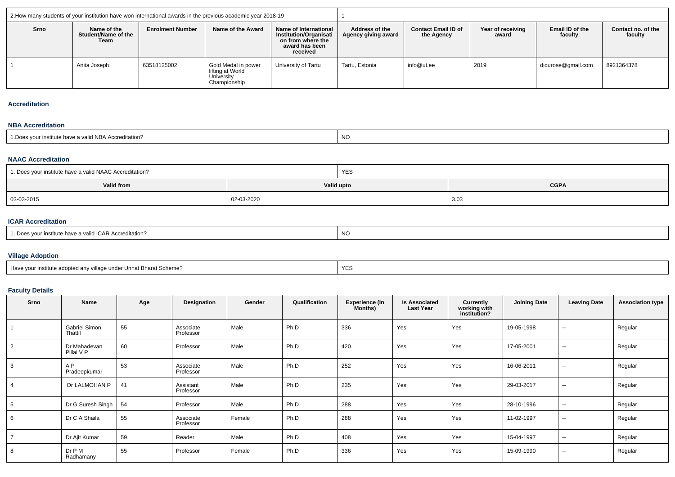|      |                                            |                         | 2. How many students of your institution have won international awards in the previous academic year 2018-19 |                                                                                                    |                                       |                                          |                            |                            |                               |  |  |
|------|--------------------------------------------|-------------------------|--------------------------------------------------------------------------------------------------------------|----------------------------------------------------------------------------------------------------|---------------------------------------|------------------------------------------|----------------------------|----------------------------|-------------------------------|--|--|
| Srno | Name of the<br>Student/Name of the<br>Team | <b>Enrolment Number</b> | Name of the Award                                                                                            | Name of International<br>Institution/Organisati<br>on from where the<br>award has been<br>received | Address of the<br>Agency giving award | <b>Contact Email ID of</b><br>the Agency | Year of receiving<br>award | Email ID of the<br>faculty | Contact no. of the<br>faculty |  |  |
|      | Anita Joseph                               | 63518125002             | Gold Medal in power<br>lifting at World<br>University<br>Championship                                        | University of Tartu                                                                                | Tartu. Estonia                        | info@ut.ee                               | 2019                       | didurose@gmail.com         | 8921364378                    |  |  |

#### **Accreditation**

#### **NBA Accreditation**

| <b>NO</b><br>- <del>.</del><br>. have a valid NBA Accreditation?<br>institute |  |
|-------------------------------------------------------------------------------|--|
|-------------------------------------------------------------------------------|--|

# **NAAC Accreditation**

| 1. Does your institute have a valid NAAC Accreditation? |            | <b>YES</b>                |      |  |  |  |
|---------------------------------------------------------|------------|---------------------------|------|--|--|--|
| Valid from                                              |            | <b>CGPA</b><br>Valid upto |      |  |  |  |
| 03-03-2015                                              | 02-03-2020 |                           | 3.03 |  |  |  |

### **ICAR Accreditation**

| 1. Does vour institute have a valid ICAR Accreditation? | NC. |
|---------------------------------------------------------|-----|
|---------------------------------------------------------|-----|

## **Village Adoption**

| Have your                                                | <b>VES</b> |
|----------------------------------------------------------|------------|
| 'nstitute adopted any village under Unnat Bharat Scheme? | .          |
|                                                          |            |

## **Faculty Details**

| Srno           | Name                           | Age | Designation            | Gender | Qualification | <b>Experience (In</b><br>Months) | <b>Is Associated</b><br><b>Last Year</b> | Currently<br>working with<br>institution? | <b>Joining Date</b> | <b>Leaving Date</b>      | <b>Association type</b> |
|----------------|--------------------------------|-----|------------------------|--------|---------------|----------------------------------|------------------------------------------|-------------------------------------------|---------------------|--------------------------|-------------------------|
|                | Gabriel Simon<br>Thattil       | 55  | Associate<br>Professor | Male   | Ph.D          | 336                              | Yes                                      | Yes                                       | 19-05-1998          | $\sim$                   | Regular                 |
| $\overline{2}$ | Dr Mahadevan<br>Pillai V P     | 60  | Professor              | Male   | Ph.D          | 420                              | Yes                                      | Yes                                       | 17-05-2001          | $\sim$                   | Regular                 |
|                | A <sub>P</sub><br>Pradeepkumar | 53  | Associate<br>Professor | Male   | Ph.D          | 252                              | Yes                                      | Yes                                       | 16-06-2011          | $\sim$                   | Regular                 |
|                | Dr LALMOHAN P                  | 41  | Assistant<br>Professor | Male   | Ph.D          | 235                              | Yes                                      | Yes                                       | 29-03-2017          | $\sim$                   | Regular                 |
|                | Dr G Suresh Singh              | 54  | Professor              | Male   | Ph.D          | 288                              | Yes                                      | Yes                                       | 28-10-1996          | $\overline{\phantom{a}}$ | Regular                 |
|                | Dr C A Shaila                  | 55  | Associate<br>Professor | Female | Ph.D          | 288                              | Yes                                      | Yes                                       | 11-02-1997          | $\sim$                   | Regular                 |
|                | Dr Ajit Kumar                  | 59  | Reader                 | Male   | Ph.D          | 408                              | Yes                                      | Yes                                       | 15-04-1997          | $\overline{\phantom{m}}$ | Regular                 |
| 8              | Dr P M<br>Radhamany            | 55  | Professor              | Female | Ph.D          | 336                              | Yes                                      | Yes                                       | 15-09-1990          | $\overline{\phantom{a}}$ | Regular                 |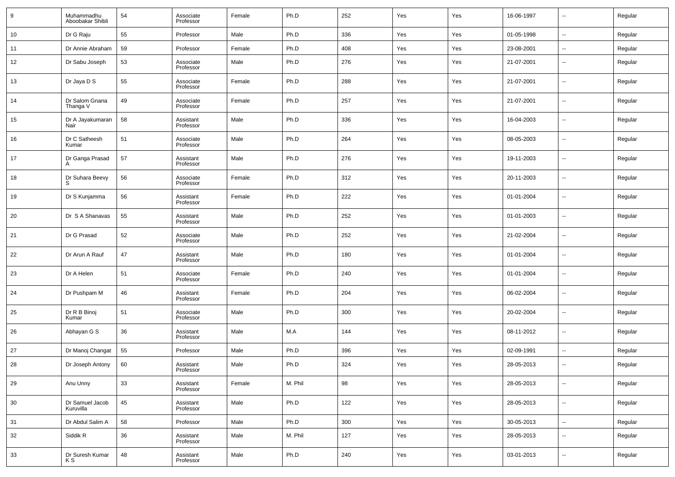| 9  | Muhammadhu<br>Aboobakar Shibli | 54 | Associate<br>Professor | Female | Ph.D    | 252 | Yes | Yes | 16-06-1997 | $\overline{\phantom{a}}$ | Regular |
|----|--------------------------------|----|------------------------|--------|---------|-----|-----|-----|------------|--------------------------|---------|
| 10 | Dr G Raju                      | 55 | Professor              | Male   | Ph.D    | 336 | Yes | Yes | 01-05-1998 | ۰.                       | Regular |
| 11 | Dr Annie Abraham               | 59 | Professor              | Female | Ph.D    | 408 | Yes | Yes | 23-08-2001 | $\overline{\phantom{a}}$ | Regular |
| 12 | Dr Sabu Joseph                 | 53 | Associate<br>Professor | Male   | Ph.D    | 276 | Yes | Yes | 21-07-2001 | --                       | Regular |
| 13 | Dr Jaya D S                    | 55 | Associate<br>Professor | Female | Ph.D    | 288 | Yes | Yes | 21-07-2001 | $\overline{\phantom{a}}$ | Regular |
| 14 | Dr Salom Gnana<br>Thanga V     | 49 | Associate<br>Professor | Female | Ph.D    | 257 | Yes | Yes | 21-07-2001 | $\overline{\phantom{a}}$ | Regular |
| 15 | Dr A Jayakumaran<br>Nair       | 58 | Assistant<br>Professor | Male   | Ph.D    | 336 | Yes | Yes | 16-04-2003 | $\overline{\phantom{a}}$ | Regular |
| 16 | Dr C Satheesh<br>Kumar         | 51 | Associate<br>Professor | Male   | Ph.D    | 264 | Yes | Yes | 08-05-2003 | $\overline{\phantom{a}}$ | Regular |
| 17 | Dr Ganga Prasad<br>А           | 57 | Assistant<br>Professor | Male   | Ph.D    | 276 | Yes | Yes | 19-11-2003 | ۰.                       | Regular |
| 18 | Dr Suhara Beevy<br>S.          | 56 | Associate<br>Professor | Female | Ph.D    | 312 | Yes | Yes | 20-11-2003 | $\overline{\phantom{a}}$ | Regular |
| 19 | Dr S Kunjamma                  | 56 | Assistant<br>Professor | Female | Ph.D    | 222 | Yes | Yes | 01-01-2004 | $\overline{\phantom{a}}$ | Regular |
| 20 | Dr S A Shanavas                | 55 | Assistant<br>Professor | Male   | Ph.D    | 252 | Yes | Yes | 01-01-2003 | --                       | Regular |
| 21 | Dr G Prasad                    | 52 | Associate<br>Professor | Male   | Ph.D    | 252 | Yes | Yes | 21-02-2004 | $\overline{\phantom{a}}$ | Regular |
| 22 | Dr Arun A Rauf                 | 47 | Assistant<br>Professor | Male   | Ph.D    | 180 | Yes | Yes | 01-01-2004 | $\overline{\phantom{a}}$ | Regular |
| 23 | Dr A Helen                     | 51 | Associate<br>Professor | Female | Ph.D    | 240 | Yes | Yes | 01-01-2004 | $\overline{\phantom{a}}$ | Regular |
| 24 | Dr Pushpam M                   | 46 | Assistant<br>Professor | Female | Ph.D    | 204 | Yes | Yes | 06-02-2004 | $\overline{\phantom{a}}$ | Regular |
| 25 | Dr R B Binoj<br>Kumar          | 51 | Associate<br>Professor | Male   | Ph.D    | 300 | Yes | Yes | 20-02-2004 | $\overline{\phantom{a}}$ | Regular |
| 26 | Abhayan G S                    | 36 | Assistant<br>Professor | Male   | M.A     | 144 | Yes | Yes | 08-11-2012 | $\overline{\phantom{a}}$ | Regular |
| 27 | Dr Manoj Changat               | 55 | Professor              | Male   | Ph.D    | 396 | Yes | Yes | 02-09-1991 | $\overline{\phantom{a}}$ | Regular |
| 28 | Dr Joseph Antony               | 60 | Assistant<br>Professor | Male   | Ph.D    | 324 | Yes | Yes | 28-05-2013 | $\overline{\phantom{a}}$ | Regular |
| 29 | Anu Unny                       | 33 | Assistant<br>Professor | Female | M. Phil | 98  | Yes | Yes | 28-05-2013 | $\sim$                   | Regular |
| 30 | Dr Samuel Jacob<br>Kuruvilla   | 45 | Assistant<br>Professor | Male   | Ph.D    | 122 | Yes | Yes | 28-05-2013 | $\sim$                   | Regular |
| 31 | Dr Abdul Salim A               | 58 | Professor              | Male   | Ph.D    | 300 | Yes | Yes | 30-05-2013 | $\sim$                   | Regular |
| 32 | Siddik R                       | 36 | Assistant<br>Professor | Male   | M. Phil | 127 | Yes | Yes | 28-05-2013 | $\sim$                   | Regular |
| 33 | Dr Suresh Kumar<br>K S         | 48 | Assistant<br>Professor | Male   | Ph.D    | 240 | Yes | Yes | 03-01-2013 | $\sim$                   | Regular |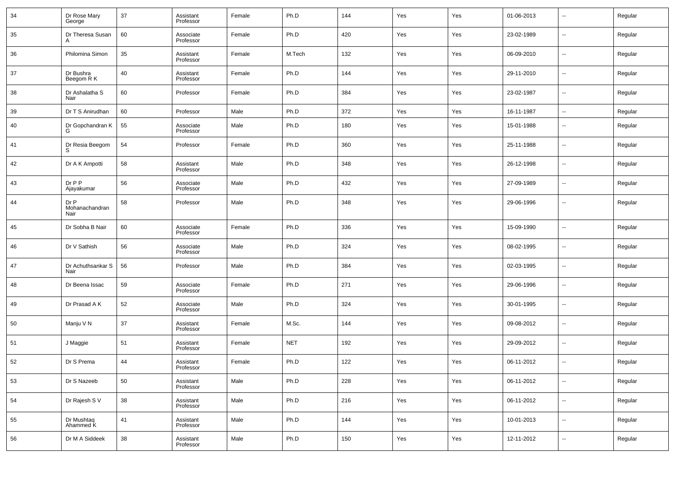| 34 | Dr Rose Mary<br>George         | 37 | Assistant<br>Professor | Female | Ph.D       | 144 | Yes | Yes | 01-06-2013 | $\sim$                   | Regular |
|----|--------------------------------|----|------------------------|--------|------------|-----|-----|-----|------------|--------------------------|---------|
| 35 | Dr Theresa Susan               | 60 | Associate<br>Professor | Female | Ph.D       | 420 | Yes | Yes | 23-02-1989 | $\sim$                   | Regular |
| 36 | Philomina Simon                | 35 | Assistant<br>Professor | Female | M.Tech     | 132 | Yes | Yes | 06-09-2010 | $\sim$                   | Regular |
| 37 | Dr Bushra<br>Beegom R K        | 40 | Assistant<br>Professor | Female | Ph.D       | 144 | Yes | Yes | 29-11-2010 | $\sim$                   | Regular |
| 38 | Dr Ashalatha S<br>Nair         | 60 | Professor              | Female | Ph.D       | 384 | Yes | Yes | 23-02-1987 | $\sim$                   | Regular |
| 39 | Dr T S Anirudhan               | 60 | Professor              | Male   | Ph.D       | 372 | Yes | Yes | 16-11-1987 | $\sim$                   | Regular |
| 40 | Dr Gopchandran K<br>G          | 55 | Associate<br>Professor | Male   | Ph.D       | 180 | Yes | Yes | 15-01-1988 | --                       | Regular |
| 41 | Dr Resia Beegom<br>S           | 54 | Professor              | Female | Ph.D       | 360 | Yes | Yes | 25-11-1988 | $\overline{\phantom{a}}$ | Regular |
| 42 | Dr A K Ampotti                 | 58 | Assistant<br>Professor | Male   | Ph.D       | 348 | Yes | Yes | 26-12-1998 | --                       | Regular |
| 43 | $Dr$ $P$ $P$<br>Ajayakumar     | 56 | Associate<br>Professor | Male   | Ph.D       | 432 | Yes | Yes | 27-09-1989 | --                       | Regular |
| 44 | Dr P<br>Mohanachandran<br>Nair | 58 | Professor              | Male   | Ph.D       | 348 | Yes | Yes | 29-06-1996 | --                       | Regular |
| 45 | Dr Sobha B Nair                | 60 | Associate<br>Professor | Female | Ph.D       | 336 | Yes | Yes | 15-09-1990 | $\overline{\phantom{a}}$ | Regular |
| 46 | Dr V Sathish                   | 56 | Associate<br>Professor | Male   | Ph.D       | 324 | Yes | Yes | 08-02-1995 | $\sim$                   | Regular |
| 47 | Dr Achuthsankar S<br>Nair      | 56 | Professor              | Male   | Ph.D       | 384 | Yes | Yes | 02-03-1995 | $\sim$                   | Regular |
| 48 | Dr Beena Issac                 | 59 | Associate<br>Professor | Female | Ph.D       | 271 | Yes | Yes | 29-06-1996 | $\overline{\phantom{a}}$ | Regular |
| 49 | Dr Prasad A K                  | 52 | Associate<br>Professor | Male   | Ph.D       | 324 | Yes | Yes | 30-01-1995 | $\sim$                   | Regular |
| 50 | Manju V N                      | 37 | Assistant<br>Professor | Female | M.Sc.      | 144 | Yes | Yes | 09-08-2012 | $\overline{\phantom{a}}$ | Regular |
| 51 | J Maggie                       | 51 | Assistant<br>Professor | Female | <b>NET</b> | 192 | Yes | Yes | 29-09-2012 | $\sim$                   | Regular |
| 52 | Dr S Prema                     | 44 | Assistant<br>Professor | Female | Ph.D       | 122 | Yes | Yes | 06-11-2012 | $\overline{\phantom{a}}$ | Regular |
| 53 | Dr S Nazeeb                    | 50 | Assistant<br>Professor | Male   | Ph.D       | 228 | Yes | Yes | 06-11-2012 | $\sim$                   | Regular |
| 54 | Dr Rajesh S V                  | 38 | Assistant<br>Professor | Male   | Ph.D       | 216 | Yes | Yes | 06-11-2012 | $\sim$                   | Regular |
| 55 | Dr Mushtaq<br>Ahammed K        | 41 | Assistant<br>Professor | Male   | Ph.D       | 144 | Yes | Yes | 10-01-2013 | $\sim$                   | Regular |
| 56 | Dr M A Siddeek                 | 38 | Assistant<br>Professor | Male   | Ph.D       | 150 | Yes | Yes | 12-11-2012 | $\overline{\phantom{a}}$ | Regular |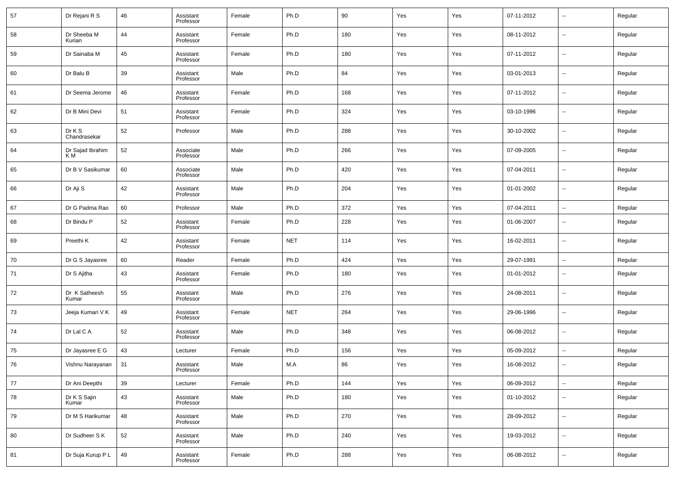| 57 | Dr Rejani R S           | 46 | Assistant<br>Professor | Female | Ph.D       | 90  | Yes | Yes | 07-11-2012 | $\sim$                   | Regular |
|----|-------------------------|----|------------------------|--------|------------|-----|-----|-----|------------|--------------------------|---------|
| 58 | Dr Sheeba M<br>Kurian   | 44 | Assistant<br>Professor | Female | Ph.D       | 180 | Yes | Yes | 08-11-2012 | --                       | Regular |
| 59 | Dr Sainaba M            | 45 | Assistant<br>Professor | Female | Ph.D       | 180 | Yes | Yes | 07-11-2012 | $\overline{\phantom{a}}$ | Regular |
| 60 | Dr Balu B               | 39 | Assistant<br>Professor | Male   | Ph.D       | 84  | Yes | Yes | 03-01-2013 | --                       | Regular |
| 61 | Dr Seema Jerome         | 46 | Assistant<br>Professor | Female | Ph.D       | 168 | Yes | Yes | 07-11-2012 | $\overline{\phantom{a}}$ | Regular |
| 62 | Dr B Mini Devi          | 51 | Assistant<br>Professor | Female | Ph.D       | 324 | Yes | Yes | 03-10-1996 | --                       | Regular |
| 63 | Dr K S<br>Chandrasekar  | 52 | Professor              | Male   | Ph.D       | 288 | Yes | Yes | 30-10-2002 | $\overline{\phantom{a}}$ | Regular |
| 64 | Dr Sajad Ibrahim<br>K M | 52 | Associate<br>Professor | Male   | Ph.D       | 266 | Yes | Yes | 07-09-2005 | --                       | Regular |
| 65 | Dr B V Sasikumar        | 60 | Associate<br>Professor | Male   | Ph.D       | 420 | Yes | Yes | 07-04-2011 | ш,                       | Regular |
| 66 | Dr Aji S                | 42 | Assistant<br>Professor | Male   | Ph.D       | 204 | Yes | Yes | 01-01-2002 | --                       | Regular |
| 67 | Dr G Padma Rao          | 60 | Professor              | Male   | Ph.D       | 372 | Yes | Yes | 07-04-2011 | $\overline{\phantom{a}}$ | Regular |
| 68 | Dr Bindu P              | 52 | Assistant<br>Professor | Female | Ph.D       | 228 | Yes | Yes | 01-06-2007 | --                       | Regular |
| 69 | Preethi K               | 42 | Assistant<br>Professor | Female | <b>NET</b> | 114 | Yes | Yes | 16-02-2011 | $\sim$                   | Regular |
| 70 | Dr G S Jayasree         | 60 | Reader                 | Female | Ph.D       | 424 | Yes | Yes | 29-07-1991 | $\sim$                   | Regular |
| 71 | Dr S Ajitha             | 43 | Assistant<br>Professor | Female | Ph.D       | 180 | Yes | Yes | 01-01-2012 | --                       | Regular |
| 72 | Dr K Satheesh<br>Kumar  | 55 | Assistant<br>Professor | Male   | Ph.D       | 276 | Yes | Yes | 24-08-2011 | --                       | Regular |
| 73 | Jeeja Kumari V K        | 49 | Assistant<br>Professor | Female | <b>NET</b> | 264 | Yes | Yes | 29-06-1996 | --                       | Regular |
| 74 | Dr Lal C A              | 52 | Assistant<br>Professor | Male   | Ph.D       | 348 | Yes | Yes | 06-08-2012 | --                       | Regular |
| 75 | Dr Jayasree E G         | 43 | Lecturer               | Female | Ph.D       | 156 | Yes | Yes | 05-09-2012 | --                       | Regular |
| 76 | Vishnu Narayanan        | 31 | Assistant<br>Professor | Male   | M.A        | 86  | Yes | Yes | 16-08-2012 | --                       | Regular |
| 77 | Dr Ani Deepthi          | 39 | Lecturer               | Female | Ph.D       | 144 | Yes | Yes | 06-09-2012 | $\overline{\phantom{a}}$ | Regular |
| 78 | Dr K S Sajin<br>Kumar   | 43 | Assistant<br>Professor | Male   | Ph.D       | 180 | Yes | Yes | 01-10-2012 | $\sim$                   | Regular |
| 79 | Dr M S Harikumar        | 48 | Assistant<br>Professor | Male   | Ph.D       | 270 | Yes | Yes | 28-09-2012 | $\sim$                   | Regular |
| 80 | Dr Sudheer S K          | 52 | Assistant<br>Professor | Male   | Ph.D       | 240 | Yes | Yes | 19-03-2012 | $\overline{\phantom{a}}$ | Regular |
| 81 | Dr Suja Kurup P L       | 49 | Assistant<br>Professor | Female | Ph.D       | 288 | Yes | Yes | 06-08-2012 | $\sim$                   | Regular |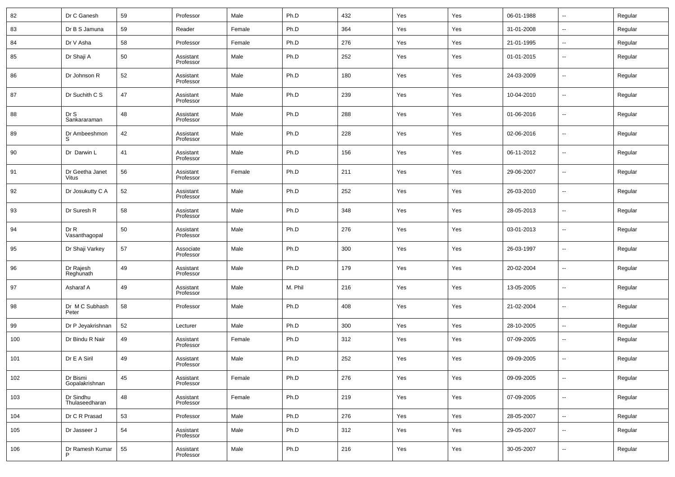| 82  | Dr C Ganesh                 | 59 | Professor              | Male   | Ph.D    | 432 | Yes | Yes | 06-01-1988 | $\overline{\phantom{a}}$ | Regular |
|-----|-----------------------------|----|------------------------|--------|---------|-----|-----|-----|------------|--------------------------|---------|
| 83  | Dr B S Jamuna               | 59 | Reader                 | Female | Ph.D    | 364 | Yes | Yes | 31-01-2008 | $\overline{\phantom{a}}$ | Regular |
| 84  | Dr V Asha                   | 58 | Professor              | Female | Ph.D    | 276 | Yes | Yes | 21-01-1995 | $\overline{\phantom{a}}$ | Regular |
| 85  | Dr Shaji A                  | 50 | Assistant<br>Professor | Male   | Ph.D    | 252 | Yes | Yes | 01-01-2015 | $\overline{\phantom{a}}$ | Regular |
| 86  | Dr Johnson R                | 52 | Assistant<br>Professor | Male   | Ph.D    | 180 | Yes | Yes | 24-03-2009 | $\overline{\phantom{a}}$ | Regular |
| 87  | Dr Suchith C S              | 47 | Assistant<br>Professor | Male   | Ph.D    | 239 | Yes | Yes | 10-04-2010 | $\overline{\phantom{a}}$ | Regular |
| 88  | Dr S<br>Sankararaman        | 48 | Assistant<br>Professor | Male   | Ph.D    | 288 | Yes | Yes | 01-06-2016 | $\overline{\phantom{a}}$ | Regular |
| 89  | Dr Ambeeshmon<br>S          | 42 | Assistant<br>Professor | Male   | Ph.D    | 228 | Yes | Yes | 02-06-2016 | $\overline{\phantom{a}}$ | Regular |
| 90  | Dr Darwin L                 | 41 | Assistant<br>Professor | Male   | Ph.D    | 156 | Yes | Yes | 06-11-2012 | $\overline{\phantom{a}}$ | Regular |
| 91  | Dr Geetha Janet<br>Vitus    | 56 | Assistant<br>Professor | Female | Ph.D    | 211 | Yes | Yes | 29-06-2007 | $\overline{\phantom{a}}$ | Regular |
| 92  | Dr Josukutty C A            | 52 | Assistant<br>Professor | Male   | Ph.D    | 252 | Yes | Yes | 26-03-2010 | $\overline{\phantom{a}}$ | Regular |
| 93  | Dr Suresh R                 | 58 | Assistant<br>Professor | Male   | Ph.D    | 348 | Yes | Yes | 28-05-2013 | $\overline{\phantom{a}}$ | Regular |
| 94  | Dr R<br>Vasanthagopal       | 50 | Assistant<br>Professor | Male   | Ph.D    | 276 | Yes | Yes | 03-01-2013 | $\overline{\phantom{a}}$ | Regular |
| 95  | Dr Shaji Varkey             | 57 | Associate<br>Professor | Male   | Ph.D    | 300 | Yes | Yes | 26-03-1997 | $\overline{\phantom{a}}$ | Regular |
| 96  | Dr Rajesh<br>Reghunath      | 49 | Assistant<br>Professor | Male   | Ph.D    | 179 | Yes | Yes | 20-02-2004 | $\overline{\phantom{a}}$ | Regular |
| 97  | Asharaf A                   | 49 | Assistant<br>Professor | Male   | M. Phil | 216 | Yes | Yes | 13-05-2005 | $\overline{\phantom{a}}$ | Regular |
| 98  | Dr M C Subhash<br>Peter     | 58 | Professor              | Male   | Ph.D    | 408 | Yes | Yes | 21-02-2004 | $\overline{\phantom{a}}$ | Regular |
| 99  | Dr P Jeyakrishnan           | 52 | Lecturer               | Male   | Ph.D    | 300 | Yes | Yes | 28-10-2005 | $\overline{\phantom{a}}$ | Regular |
| 100 | Dr Bindu R Nair             | 49 | Assistant<br>Professor | Female | Ph.D    | 312 | Yes | Yes | 07-09-2005 | $\overline{\phantom{a}}$ | Regular |
| 101 | Dr E A Siril                | 49 | Assistant<br>Professor | Male   | Ph.D    | 252 | Yes | Yes | 09-09-2005 | $\overline{\phantom{a}}$ | Regular |
| 102 | Dr Bismi<br>Gopalakrishnan  | 45 | Assistant<br>Professor | Female | Ph.D    | 276 | Yes | Yes | 09-09-2005 | $\overline{\phantom{a}}$ | Regular |
| 103 | Dr Sindhu<br>Thulaseedharan | 48 | Assistant<br>Professor | Female | Ph.D    | 219 | Yes | Yes | 07-09-2005 | $\overline{\phantom{a}}$ | Regular |
| 104 | Dr C R Prasad               | 53 | Professor              | Male   | Ph.D    | 276 | Yes | Yes | 28-05-2007 | $\overline{\phantom{a}}$ | Regular |
| 105 | Dr Jasseer J                | 54 | Assistant<br>Professor | Male   | Ph.D    | 312 | Yes | Yes | 29-05-2007 | ۰.                       | Regular |
| 106 | Dr Ramesh Kumar<br>P        | 55 | Assistant<br>Professor | Male   | Ph.D    | 216 | Yes | Yes | 30-05-2007 | $\overline{\phantom{a}}$ | Regular |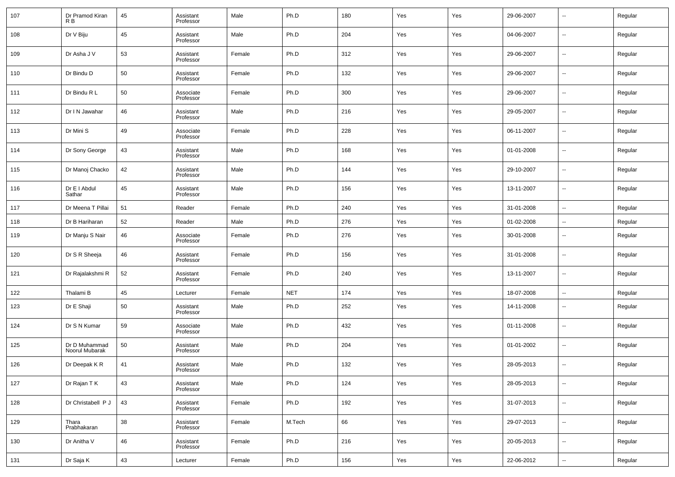| 107 | Dr Pramod Kiran<br>R B          | 45 | Assistant<br>Professor | Male   | Ph.D       | 180 | Yes | Yes | 29-06-2007 | $\overline{\phantom{a}}$ | Regular |
|-----|---------------------------------|----|------------------------|--------|------------|-----|-----|-----|------------|--------------------------|---------|
| 108 | Dr V Biju                       | 45 | Assistant<br>Professor | Male   | Ph.D       | 204 | Yes | Yes | 04-06-2007 | $\overline{\phantom{a}}$ | Regular |
| 109 | Dr Asha J V                     | 53 | Assistant<br>Professor | Female | Ph.D       | 312 | Yes | Yes | 29-06-2007 | $\overline{\phantom{a}}$ | Regular |
| 110 | Dr Bindu D                      | 50 | Assistant<br>Professor | Female | Ph.D       | 132 | Yes | Yes | 29-06-2007 | $\overline{\phantom{a}}$ | Regular |
| 111 | Dr Bindu R L                    | 50 | Associate<br>Professor | Female | Ph.D       | 300 | Yes | Yes | 29-06-2007 | $\overline{\phantom{a}}$ | Regular |
| 112 | Dr I N Jawahar                  | 46 | Assistant<br>Professor | Male   | Ph.D       | 216 | Yes | Yes | 29-05-2007 | $\overline{\phantom{a}}$ | Regular |
| 113 | Dr Mini S                       | 49 | Associate<br>Professor | Female | Ph.D       | 228 | Yes | Yes | 06-11-2007 | $\sim$                   | Regular |
| 114 | Dr Sony George                  | 43 | Assistant<br>Professor | Male   | Ph.D       | 168 | Yes | Yes | 01-01-2008 | $\overline{\phantom{a}}$ | Regular |
| 115 | Dr Manoj Chacko                 | 42 | Assistant<br>Professor | Male   | Ph.D       | 144 | Yes | Yes | 29-10-2007 | $\overline{\phantom{a}}$ | Regular |
| 116 | Dr E I Abdul<br>Sathar          | 45 | Assistant<br>Professor | Male   | Ph.D       | 156 | Yes | Yes | 13-11-2007 | $\overline{\phantom{a}}$ | Regular |
| 117 | Dr Meena T Pillai               | 51 | Reader                 | Female | Ph.D       | 240 | Yes | Yes | 31-01-2008 | $\overline{\phantom{a}}$ | Regular |
| 118 | Dr B Hariharan                  | 52 | Reader                 | Male   | Ph.D       | 276 | Yes | Yes | 01-02-2008 | $\overline{\phantom{a}}$ | Regular |
| 119 | Dr Manju S Nair                 | 46 | Associate<br>Professor | Female | Ph.D       | 276 | Yes | Yes | 30-01-2008 | $\sim$                   | Regular |
| 120 | Dr S R Sheeja                   | 46 | Assistant<br>Professor | Female | Ph.D       | 156 | Yes | Yes | 31-01-2008 | $\sim$                   | Regular |
| 121 | Dr Rajalakshmi R                | 52 | Assistant<br>Professor | Female | Ph.D       | 240 | Yes | Yes | 13-11-2007 | $\sim$                   | Regular |
| 122 | Thalami B                       | 45 | Lecturer               | Female | <b>NET</b> | 174 | Yes | Yes | 18-07-2008 | $\sim$                   | Regular |
| 123 | Dr E Shaji                      | 50 | Assistant<br>Professor | Male   | Ph.D       | 252 | Yes | Yes | 14-11-2008 | --                       | Regular |
| 124 | Dr S N Kumar                    | 59 | Associate<br>Professor | Male   | Ph.D       | 432 | Yes | Yes | 01-11-2008 | --                       | Regular |
| 125 | Dr D Muhammad<br>Noorul Mubarak | 50 | Assistant<br>Professor | Male   | Ph.D       | 204 | Yes | Yes | 01-01-2002 | --                       | Regular |
| 126 | Dr Deepak K R                   | 41 | Assistant<br>Professor | Male   | Ph.D       | 132 | Yes | Yes | 28-05-2013 | $\overline{\phantom{a}}$ | Regular |
| 127 | Dr Rajan T K                    | 43 | Assistant<br>Professor | Male   | Ph.D       | 124 | Yes | Yes | 28-05-2013 | $\sim$                   | Regular |
| 128 | Dr Christabell P J              | 43 | Assistant<br>Professor | Female | Ph.D       | 192 | Yes | Yes | 31-07-2013 | $\sim$                   | Regular |
| 129 | Thara<br>Prabhakaran            | 38 | Assistant<br>Professor | Female | M.Tech     | 66  | Yes | Yes | 29-07-2013 | $\sim$                   | Regular |
| 130 | Dr Anitha V                     | 46 | Assistant<br>Professor | Female | Ph.D       | 216 | Yes | Yes | 20-05-2013 | $\overline{\phantom{a}}$ | Regular |
| 131 | Dr Saja K                       | 43 | Lecturer               | Female | Ph.D       | 156 | Yes | Yes | 22-06-2012 | $\overline{\phantom{a}}$ | Regular |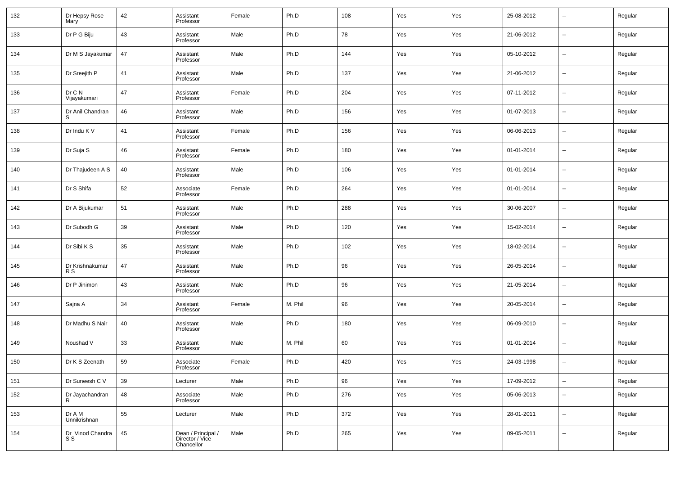| 132 | Dr Hepsy Rose<br>Mary   | 42 | Assistant<br>Professor                              | Female | Ph.D    | 108 | Yes | Yes | 25-08-2012 | $\sim$                   | Regular |
|-----|-------------------------|----|-----------------------------------------------------|--------|---------|-----|-----|-----|------------|--------------------------|---------|
| 133 | Dr P G Biju             | 43 | Assistant<br>Professor                              | Male   | Ph.D    | 78  | Yes | Yes | 21-06-2012 | $\sim$                   | Regular |
| 134 | Dr M S Jayakumar        | 47 | Assistant<br>Professor                              | Male   | Ph.D    | 144 | Yes | Yes | 05-10-2012 | $\sim$                   | Regular |
| 135 | Dr Sreejith P           | 41 | Assistant<br>Professor                              | Male   | Ph.D    | 137 | Yes | Yes | 21-06-2012 | $\sim$                   | Regular |
| 136 | Dr C N<br>Vijayakumari  | 47 | Assistant<br>Professor                              | Female | Ph.D    | 204 | Yes | Yes | 07-11-2012 | $\sim$                   | Regular |
| 137 | Dr Anil Chandran        | 46 | Assistant<br>Professor                              | Male   | Ph.D    | 156 | Yes | Yes | 01-07-2013 | $\sim$                   | Regular |
| 138 | Dr Indu K V             | 41 | Assistant<br>Professor                              | Female | Ph.D    | 156 | Yes | Yes | 06-06-2013 | $\sim$                   | Regular |
| 139 | Dr Suja S               | 46 | Assistant<br>Professor                              | Female | Ph.D    | 180 | Yes | Yes | 01-01-2014 | $\overline{\phantom{a}}$ | Regular |
| 140 | Dr Thajudeen A S        | 40 | Assistant<br>Professor                              | Male   | Ph.D    | 106 | Yes | Yes | 01-01-2014 | $\sim$                   | Regular |
| 141 | Dr S Shifa              | 52 | Associate<br>Professor                              | Female | Ph.D    | 264 | Yes | Yes | 01-01-2014 | $\overline{\phantom{a}}$ | Regular |
| 142 | Dr A Bijukumar          | 51 | Assistant<br>Professor                              | Male   | Ph.D    | 288 | Yes | Yes | 30-06-2007 | $\sim$                   | Regular |
| 143 | Dr Subodh G             | 39 | Assistant<br>Professor                              | Male   | Ph.D    | 120 | Yes | Yes | 15-02-2014 | $\overline{\phantom{a}}$ | Regular |
| 144 | Dr Sibi K S             | 35 | Assistant<br>Professor                              | Male   | Ph.D    | 102 | Yes | Yes | 18-02-2014 | $\overline{\phantom{a}}$ | Regular |
| 145 | Dr Krishnakumar<br>R S  | 47 | Assistant<br>Professor                              | Male   | Ph.D    | 96  | Yes | Yes | 26-05-2014 | $\overline{\phantom{a}}$ | Regular |
| 146 | Dr P Jinimon            | 43 | Assistant<br>Professor                              | Male   | Ph.D    | 96  | Yes | Yes | 21-05-2014 | $\sim$                   | Regular |
| 147 | Sajna A                 | 34 | Assistant<br>Professor                              | Female | M. Phil | 96  | Yes | Yes | 20-05-2014 | $\sim$                   | Regular |
| 148 | Dr Madhu S Nair         | 40 | Assistant<br>Professor                              | Male   | Ph.D    | 180 | Yes | Yes | 06-09-2010 | $\overline{\phantom{a}}$ | Regular |
| 149 | Noushad V               | 33 | Assistant<br>Professor                              | Male   | M. Phil | 60  | Yes | Yes | 01-01-2014 | $\sim$                   | Regular |
| 150 | Dr K S Zeenath          | 59 | Associate<br>Professor                              | Female | Ph.D    | 420 | Yes | Yes | 24-03-1998 | $\overline{\phantom{a}}$ | Regular |
| 151 | Dr Suneesh C V          | 39 | Lecturer                                            | Male   | Ph.D    | 96  | Yes | Yes | 17-09-2012 | $\overline{\phantom{a}}$ | Regular |
| 152 | Dr Jayachandran<br>R.   | 48 | Associate<br>Professor                              | Male   | Ph.D    | 276 | Yes | Yes | 05-06-2013 | $\sim$                   | Regular |
| 153 | Dr A M<br>Unnikrishnan  | 55 | Lecturer                                            | Male   | Ph.D    | 372 | Yes | Yes | 28-01-2011 | $\overline{\phantom{a}}$ | Regular |
| 154 | Dr Vinod Chandra<br>S S | 45 | Dean / Principal /<br>Director / Vice<br>Chancellor | Male   | Ph.D    | 265 | Yes | Yes | 09-05-2011 | $\sim$                   | Regular |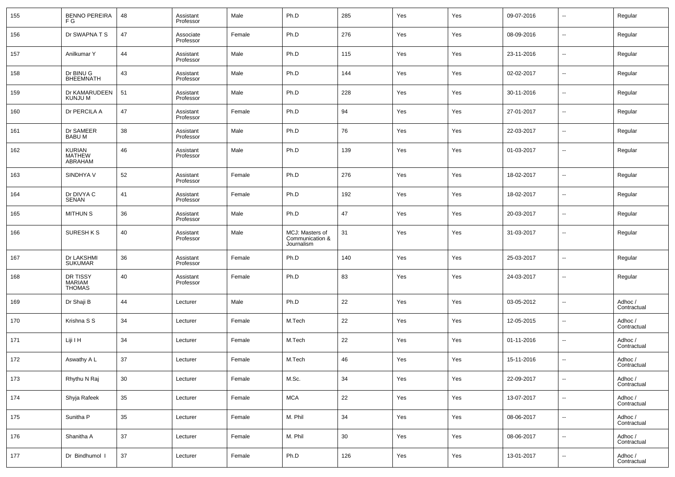| 155 | <b>BENNO PEREIRA</b><br>F G                | 48 | Assistant<br>Professor | Male   | Ph.D                                             | 285 | Yes | Yes | 09-07-2016 | $\overline{\phantom{a}}$ | Regular                |
|-----|--------------------------------------------|----|------------------------|--------|--------------------------------------------------|-----|-----|-----|------------|--------------------------|------------------------|
| 156 | Dr SWAPNA T S                              | 47 | Associate<br>Professor | Female | Ph.D                                             | 276 | Yes | Yes | 08-09-2016 | $\sim$                   | Regular                |
| 157 | Anilkumar Y                                | 44 | Assistant<br>Professor | Male   | Ph.D                                             | 115 | Yes | Yes | 23-11-2016 | $\overline{\phantom{a}}$ | Regular                |
| 158 | Dr BINU G<br><b>BHEEMNATH</b>              | 43 | Assistant<br>Professor | Male   | Ph.D                                             | 144 | Yes | Yes | 02-02-2017 | $\overline{\phantom{a}}$ | Regular                |
| 159 | Dr KAMARUDEEN<br>KUNJU M                   | 51 | Assistant<br>Professor | Male   | Ph.D                                             | 228 | Yes | Yes | 30-11-2016 | $\overline{\phantom{a}}$ | Regular                |
| 160 | Dr PERCILA A                               | 47 | Assistant<br>Professor | Female | Ph.D                                             | 94  | Yes | Yes | 27-01-2017 | $\overline{\phantom{a}}$ | Regular                |
| 161 | Dr SAMEER<br><b>BABU M</b>                 | 38 | Assistant<br>Professor | Male   | Ph.D                                             | 76  | Yes | Yes | 22-03-2017 | ш,                       | Regular                |
| 162 | <b>KURIAN</b><br><b>MATHEW</b><br>ABRAHAM  | 46 | Assistant<br>Professor | Male   | Ph.D                                             | 139 | Yes | Yes | 01-03-2017 | $\overline{\phantom{a}}$ | Regular                |
| 163 | SINDHYA V                                  | 52 | Assistant<br>Professor | Female | Ph.D                                             | 276 | Yes | Yes | 18-02-2017 | --                       | Regular                |
| 164 | Dr DIVYA C<br>SENAN                        | 41 | Assistant<br>Professor | Female | Ph.D                                             | 192 | Yes | Yes | 18-02-2017 | --                       | Regular                |
| 165 | <b>MITHUN S</b>                            | 36 | Assistant<br>Professor | Male   | Ph.D                                             | 47  | Yes | Yes | 20-03-2017 | --                       | Regular                |
| 166 | <b>SURESH K S</b>                          | 40 | Assistant<br>Professor | Male   | MCJ: Masters of<br>Communication &<br>Journalism | 31  | Yes | Yes | 31-03-2017 | --                       | Regular                |
| 167 | Dr LAKSHMI<br><b>SUKUMAR</b>               | 36 | Assistant<br>Professor | Female | Ph.D                                             | 140 | Yes | Yes | 25-03-2017 | --                       | Regular                |
| 168 | DR TISSY<br><b>MARIAM</b><br><b>THOMAS</b> | 40 | Assistant<br>Professor | Female | Ph.D                                             | 83  | Yes | Yes | 24-03-2017 | $\overline{a}$           | Regular                |
| 169 | Dr Shaji B                                 | 44 | Lecturer               | Male   | Ph.D                                             | 22  | Yes | Yes | 03-05-2012 | $\overline{\phantom{a}}$ | Adhoc /<br>Contractual |
| 170 | Krishna S S                                | 34 | Lecturer               | Female | M.Tech                                           | 22  | Yes | Yes | 12-05-2015 | $\overline{\phantom{a}}$ | Adhoc /<br>Contractual |
| 171 | Liji I H                                   | 34 | Lecturer               | Female | M.Tech                                           | 22  | Yes | Yes | 01-11-2016 | $\overline{\phantom{a}}$ | Adhoc /<br>Contractual |
| 172 | Aswathy A L                                | 37 | Lecturer               | Female | M.Tech                                           | 46  | Yes | Yes | 15-11-2016 | --                       | Adhoc /<br>Contractual |
| 173 | Rhythu N Raj                               | 30 | Lecturer               | Female | M.Sc.                                            | 34  | Yes | Yes | 22-09-2017 | $\overline{\phantom{a}}$ | Adhoc /<br>Contractual |
| 174 | Shyja Rafeek                               | 35 | Lecturer               | Female | <b>MCA</b>                                       | 22  | Yes | Yes | 13-07-2017 | $\sim$                   | Adhoc /<br>Contractual |
| 175 | Sunitha P                                  | 35 | Lecturer               | Female | M. Phil                                          | 34  | Yes | Yes | 08-06-2017 | $\overline{\phantom{a}}$ | Adhoc /<br>Contractual |
| 176 | Shanitha A                                 | 37 | Lecturer               | Female | M. Phil                                          | 30  | Yes | Yes | 08-06-2017 | $\sim$                   | Adhoc /<br>Contractual |
| 177 | Dr Bindhumol I                             | 37 | Lecturer               | Female | Ph.D                                             | 126 | Yes | Yes | 13-01-2017 | $\overline{\phantom{a}}$ | Adhoc /<br>Contractual |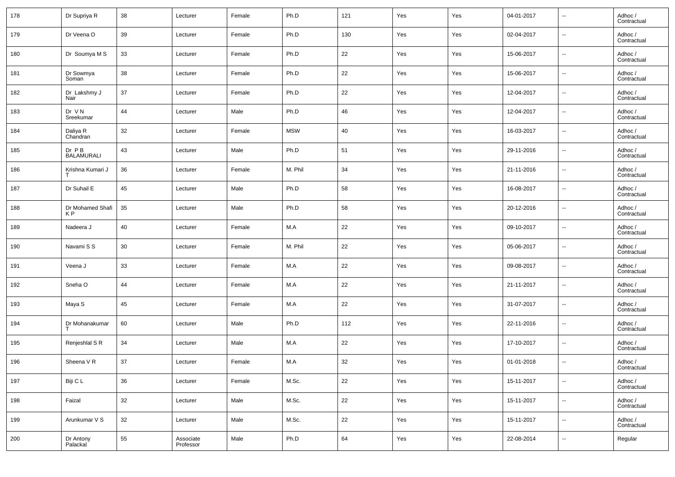| 178 | Dr Supriya R                       | 38 | Lecturer               | Female | Ph.D       | 121 | Yes | Yes | 04-01-2017 | $\overline{\phantom{a}}$ | Adhoc /<br>Contractual |
|-----|------------------------------------|----|------------------------|--------|------------|-----|-----|-----|------------|--------------------------|------------------------|
| 179 | Dr Veena O                         | 39 | Lecturer               | Female | Ph.D       | 130 | Yes | Yes | 02-04-2017 | $\sim$                   | Adhoc /<br>Contractual |
| 180 | Dr Soumya M S                      | 33 | Lecturer               | Female | Ph.D       | 22  | Yes | Yes | 15-06-2017 | $\overline{\phantom{a}}$ | Adhoc /<br>Contractual |
| 181 | Dr Sowmya<br>Soman                 | 38 | Lecturer               | Female | Ph.D       | 22  | Yes | Yes | 15-06-2017 | $\overline{\phantom{a}}$ | Adhoc /<br>Contractual |
| 182 | Dr Lakshmy J<br>Nair               | 37 | Lecturer               | Female | Ph.D       | 22  | Yes | Yes | 12-04-2017 | $\overline{\phantom{a}}$ | Adhoc /<br>Contractual |
| 183 | Dr VN<br>Sreekumar                 | 44 | Lecturer               | Male   | Ph.D       | 46  | Yes | Yes | 12-04-2017 | $\overline{\phantom{a}}$ | Adhoc /<br>Contractual |
| 184 | Daliya R<br>Chandran               | 32 | Lecturer               | Female | <b>MSW</b> | 40  | Yes | Yes | 16-03-2017 | $\overline{\phantom{a}}$ | Adhoc /<br>Contractual |
| 185 | $Dr$ $P B$<br><b>BALAMURALI</b>    | 43 | Lecturer               | Male   | Ph.D       | 51  | Yes | Yes | 29-11-2016 | $\overline{\phantom{a}}$ | Adhoc /<br>Contractual |
| 186 | Krishna Kumari J                   | 36 | Lecturer               | Female | M. Phil    | 34  | Yes | Yes | 21-11-2016 | $\overline{\phantom{a}}$ | Adhoc /<br>Contractual |
| 187 | Dr Suhail E                        | 45 | Lecturer               | Male   | Ph.D       | 58  | Yes | Yes | 16-08-2017 | $\overline{\phantom{a}}$ | Adhoc /<br>Contractual |
| 188 | Dr Mohamed Shafi<br>K P            | 35 | Lecturer               | Male   | Ph.D       | 58  | Yes | Yes | 20-12-2016 | $\overline{\phantom{a}}$ | Adhoc /<br>Contractual |
| 189 | Nadeera J                          | 40 | Lecturer               | Female | M.A        | 22  | Yes | Yes | 09-10-2017 | $\overline{\phantom{a}}$ | Adhoc /<br>Contractual |
| 190 | Navami S S                         | 30 | Lecturer               | Female | M. Phil    | 22  | Yes | Yes | 05-06-2017 | $\overline{\phantom{a}}$ | Adhoc /<br>Contractual |
| 191 | Veena J                            | 33 | Lecturer               | Female | M.A        | 22  | Yes | Yes | 09-08-2017 | $\sim$                   | Adhoc /<br>Contractual |
| 192 | Sneha O                            | 44 | Lecturer               | Female | M.A        | 22  | Yes | Yes | 21-11-2017 | $\overline{\phantom{a}}$ | Adhoc /<br>Contractual |
| 193 | Maya S                             | 45 | Lecturer               | Female | M.A        | 22  | Yes | Yes | 31-07-2017 | $\overline{\phantom{a}}$ | Adhoc /<br>Contractual |
| 194 | Dr Mohanakumar                     | 60 | Lecturer               | Male   | Ph.D       | 112 | Yes | Yes | 22-11-2016 | $\overline{\phantom{a}}$ | Adhoc /<br>Contractual |
| 195 | Renjeshlal S R                     | 34 | Lecturer               | Male   | M.A        | 22  | Yes | Yes | 17-10-2017 | $\overline{\phantom{a}}$ | Adhoc /<br>Contractual |
| 196 | Sheena V R                         | 37 | Lecturer               | Female | M.A        | 32  | Yes | Yes | 01-01-2018 | $\overline{\phantom{a}}$ | Adhoc /<br>Contractual |
| 197 | Biji C L                           | 36 | Lecturer               | Female | M.Sc.      | 22  | Yes | Yes | 15-11-2017 | $\overline{\phantom{a}}$ | Adhoc /<br>Contractual |
| 198 | Faizal                             | 32 | Lecturer               | Male   | M.Sc.      | 22  | Yes | Yes | 15-11-2017 | $\overline{\phantom{a}}$ | Adhoc /<br>Contractual |
| 199 | Arunkumar V S                      | 32 | Lecturer               | Male   | M.Sc.      | 22  | Yes | Yes | 15-11-2017 | $\overline{\phantom{a}}$ | Adhoc /<br>Contractual |
| 200 | Dr Antony<br>Palackal <sup>®</sup> | 55 | Associate<br>Professor | Male   | Ph.D       | 64  | Yes | Yes | 22-08-2014 | $\overline{\phantom{a}}$ | Regular                |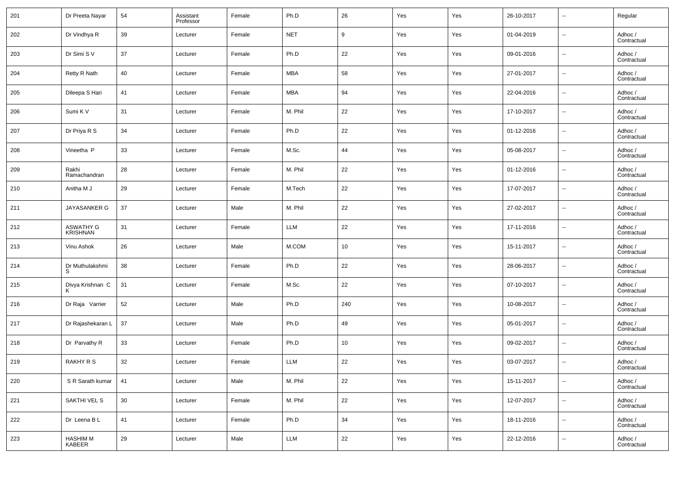| 201 | Dr Preeta Nayar           | 54 | Assistant<br>Professor | Female | Ph.D       | 26  | Yes | Yes | 26-10-2017 | $\overline{\phantom{a}}$     | Regular                |
|-----|---------------------------|----|------------------------|--------|------------|-----|-----|-----|------------|------------------------------|------------------------|
| 202 | Dr Vindhya R              | 39 | Lecturer               | Female | <b>NET</b> | 9   | Yes | Yes | 01-04-2019 | $\overline{\phantom{a}}$     | Adhoc /<br>Contractual |
| 203 | Dr Simi S V               | 37 | Lecturer               | Female | Ph.D       | 22  | Yes | Yes | 09-01-2016 | $\overline{\phantom{a}}$     | Adhoc /<br>Contractual |
| 204 | Retty R Nath              | 40 | Lecturer               | Female | <b>MBA</b> | 58  | Yes | Yes | 27-01-2017 | $\overline{\phantom{a}}$     | Adhoc /<br>Contractual |
| 205 | Dileepa S Hari            | 41 | Lecturer               | Female | <b>MBA</b> | 94  | Yes | Yes | 22-04-2016 | $\overline{\phantom{a}}$     | Adhoc /<br>Contractual |
| 206 | Sumi K V                  | 31 | Lecturer               | Female | M. Phil    | 22  | Yes | Yes | 17-10-2017 | $\overline{\phantom{a}}$     | Adhoc /<br>Contractual |
| 207 | Dr Priya R S              | 34 | Lecturer               | Female | Ph.D       | 22  | Yes | Yes | 01-12-2016 | $\overline{\phantom{a}}$     | Adhoc /<br>Contractual |
| 208 | Vineetha P                | 33 | Lecturer               | Female | M.Sc.      | 44  | Yes | Yes | 05-08-2017 | $\overline{\phantom{a}}$     | Adhoc /<br>Contractual |
| 209 | Rakhi<br>Ramachandran     | 28 | Lecturer               | Female | M. Phil    | 22  | Yes | Yes | 01-12-2016 | $\overline{\phantom{a}}$     | Adhoc /<br>Contractual |
| 210 | Anitha M J                | 29 | Lecturer               | Female | M.Tech     | 22  | Yes | Yes | 17-07-2017 | $\overline{\phantom{a}}$     | Adhoc /<br>Contractual |
| 211 | JAYASANKER G              | 37 | Lecturer               | Male   | M. Phil    | 22  | Yes | Yes | 27-02-2017 | $\overline{\phantom{a}}$     | Adhoc /<br>Contractual |
| 212 | ASWATHY G<br>KRISHNAN     | 31 | Lecturer               | Female | <b>LLM</b> | 22  | Yes | Yes | 17-11-2016 | $\overline{\phantom{a}}$     | Adhoc /<br>Contractual |
| 213 | Vinu Ashok                | 26 | Lecturer               | Male   | M.COM      | 10  | Yes | Yes | 15-11-2017 | $\overline{\phantom{a}}$     | Adhoc /<br>Contractual |
| 214 | Dr Muthulakshmi<br>S      | 38 | Lecturer               | Female | Ph.D       | 22  | Yes | Yes | 28-06-2017 | $\overline{\phantom{a}}$     | Adhoc /<br>Contractual |
| 215 | Divya Krishnan C          | 31 | Lecturer               | Female | M.Sc.      | 22  | Yes | Yes | 07-10-2017 | $\overline{\phantom{a}}$     | Adhoc /<br>Contractual |
| 216 | Dr Raja Varrier           | 52 | Lecturer               | Male   | Ph.D       | 240 | Yes | Yes | 10-08-2017 | $\overline{\phantom{a}}$     | Adhoc /<br>Contractual |
| 217 | Dr Rajashekaran L         | 37 | Lecturer               | Male   | Ph.D       | 49  | Yes | Yes | 05-01-2017 | $\overline{\phantom{a}}$     | Adhoc /<br>Contractual |
| 218 | Dr Parvathy R             | 33 | Lecturer               | Female | Ph.D       | 10  | Yes | Yes | 09-02-2017 | $\overline{\phantom{a}}$     | Adhoc /<br>Contractual |
| 219 | RAKHY R S                 | 32 | Lecturer               | Female | <b>LLM</b> | 22  | Yes | Yes | 03-07-2017 | --                           | Adhoc /<br>Contractual |
| 220 | S R Sarath kumar          | 41 | Lecturer               | Male   | M. Phil    | 22  | Yes | Yes | 15-11-2017 | $\overline{\phantom{a}}$     | Adhoc /<br>Contractual |
| 221 | SAKTHI VEL S              | 30 | Lecturer               | Female | M. Phil    | 22  | Yes | Yes | 12-07-2017 | $\overline{\phantom{a}}$     | Adhoc /<br>Contractual |
| 222 | Dr Leena B L              | 41 | Lecturer               | Female | Ph.D       | 34  | Yes | Yes | 18-11-2016 | $\qquad \qquad \blacksquare$ | Adhoc /<br>Contractual |
| 223 | <b>HASHIM M</b><br>KABEER | 29 | Lecturer               | Male   | LLM        | 22  | Yes | Yes | 22-12-2016 | $\overline{\phantom{a}}$     | Adhoc /<br>Contractual |